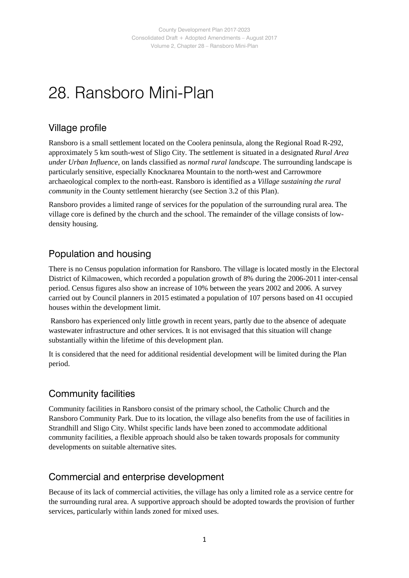## 28. Ransboro Mini-Plan

#### Village profile

Ransboro is a small settlement located on the Coolera peninsula, along the Regional Road R-292, approximately 5 km south-west of Sligo City. The settlement is situated in a designated *Rural Area under Urban Influence*, on lands classified as *normal rural landscape*. The surrounding landscape is particularly sensitive, especially Knocknarea Mountain to the north-west and Carrowmore archaeological complex to the north-east. Ransboro is identified as a *Village sustaining the rural community* in the County settlement hierarchy (see Section 3.2 of this Plan).

Ransboro provides a limited range of services for the population of the surrounding rural area. The village core is defined by the church and the school. The remainder of the village consists of lowdensity housing.

#### Population and housing

There is no Census population information for Ransboro. The village is located mostly in the Electoral District of Kilmacowen, which recorded a population growth of 8% during the 2006-2011 inter-censal period. Census figures also show an increase of 10% between the years 2002 and 2006. A survey carried out by Council planners in 2015 estimated a population of 107 persons based on 41 occupied houses within the development limit.

Ransboro has experienced only little growth in recent years, partly due to the absence of adequate wastewater infrastructure and other services. It is not envisaged that this situation will change substantially within the lifetime of this development plan.

It is considered that the need for additional residential development will be limited during the Plan period.

#### Community facilities

Community facilities in Ransboro consist of the primary school, the Catholic Church and the Ransboro Community Park. Due to its location, the village also benefits from the use of facilities in Strandhill and Sligo City. Whilst specific lands have been zoned to accommodate additional community facilities, a flexible approach should also be taken towards proposals for community developments on suitable alternative sites.

#### Commercial and enterprise development

Because of its lack of commercial activities, the village has only a limited role as a service centre for the surrounding rural area. A supportive approach should be adopted towards the provision of further services, particularly within lands zoned for mixed uses.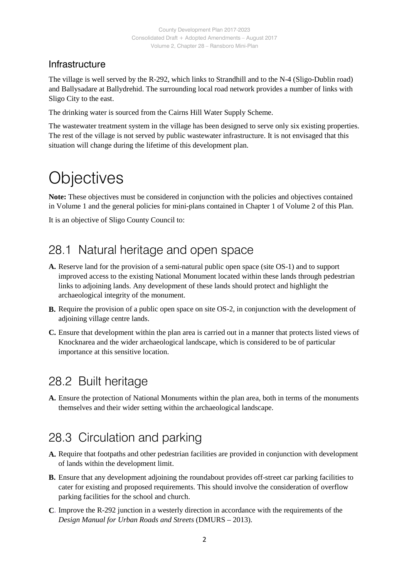#### Infrastructure

The village is well served by the R-292, which links to Strandhill and to the N-4 (Sligo-Dublin road) and Ballysadare at Ballydrehid. The surrounding local road network provides a number of links with Sligo City to the east.

The drinking water is sourced from the Cairns Hill Water Supply Scheme.

The wastewater treatment system in the village has been designed to serve only six existing properties. The rest of the village is not served by public wastewater infrastructure. It is not envisaged that this situation will change during the lifetime of this development plan.

## **Objectives**

**Note:** These objectives must be considered in conjunction with the policies and objectives contained in Volume 1 and the general policies for mini-plans contained in Chapter 1 of Volume 2 of this Plan.

It is an objective of Sligo County Council to:

## 28.1 Natural heritage and open space

- **A.** Reserve land for the provision of a semi-natural public open space (site OS-1) and to support improved access to the existing National Monument located within these lands through pedestrian links to adjoining lands. Any development of these lands should protect and highlight the archaeological integrity of the monument.
- **B.** Require the provision of a public open space on site OS-2, in conjunction with the development of adjoining village centre lands.
- **C.** Ensure that development within the plan area is carried out in a manner that protects listed views of Knocknarea and the wider archaeological landscape, which is considered to be of particular importance at this sensitive location.

### 28.2 Built heritage

**A.** Ensure the protection of National Monuments within the plan area, both in terms of the monuments themselves and their wider setting within the archaeological landscape.

## 28.3 Circulation and parking

- **A.** Require that footpaths and other pedestrian facilities are provided in conjunction with development of lands within the development limit.
- **B.** Ensure that any development adjoining the roundabout provides off-street car parking facilities to cater for existing and proposed requirements. This should involve the consideration of overflow parking facilities for the school and church.
- **C**. Improve the R-292 junction in a westerly direction in accordance with the requirements of the *Design Manual for Urban Roads and Streets* (DMURS – 2013).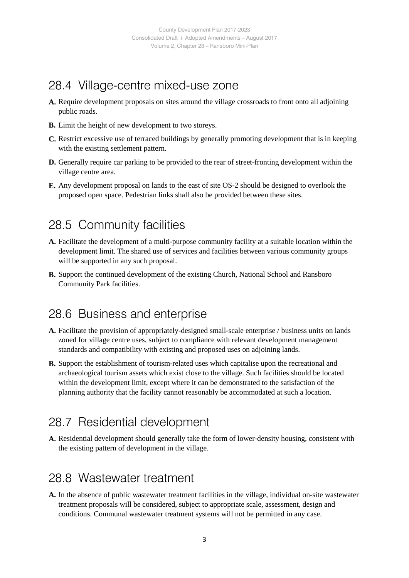### 28.4 Village-centre mixed-use zone

- **A.** Require development proposals on sites around the village crossroads to front onto all adjoining public roads.
- **B.** Limit the height of new development to two storeys.
- **C.** Restrict excessive use of terraced buildings by generally promoting development that is in keeping with the existing settlement pattern.
- **D.** Generally require car parking to be provided to the rear of street-fronting development within the village centre area.
- **E.** Any development proposal on lands to the east of site OS-2 should be designed to overlook the proposed open space. Pedestrian links shall also be provided between these sites.

#### 28.5 Community facilities

- **A.** Facilitate the development of a multi-purpose community facility at a suitable location within the development limit. The shared use of services and facilities between various community groups will be supported in any such proposal.
- **B.** Support the continued development of the existing Church, National School and Ransboro Community Park facilities.

### 28.6 Business and enterprise

- **A.** Facilitate the provision of appropriately-designed small-scale enterprise / business units on lands zoned for village centre uses, subject to compliance with relevant development management standards and compatibility with existing and proposed uses on adjoining lands.
- **B.** Support the establishment of tourism-related uses which capitalise upon the recreational and archaeological tourism assets which exist close to the village. Such facilities should be located within the development limit, except where it can be demonstrated to the satisfaction of the planning authority that the facility cannot reasonably be accommodated at such a location.

### 28.7 Residential development

**A.** Residential development should generally take the form of lower-density housing, consistent with the existing pattern of development in the village.

#### 28.8 Wastewater treatment

**A.** In the absence of public wastewater treatment facilities in the village, individual on-site wastewater treatment proposals will be considered, subject to appropriate scale, assessment, design and conditions. Communal wastewater treatment systems will not be permitted in any case.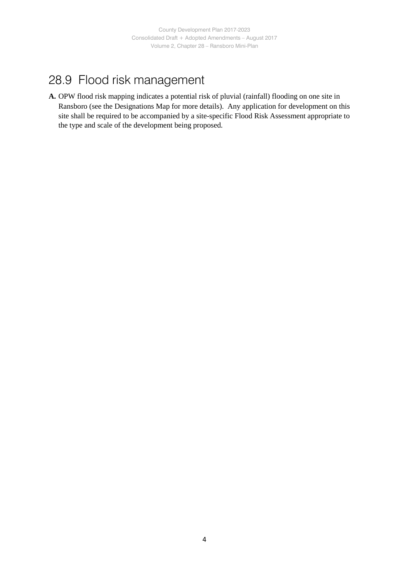## 28.9 Flood risk management

**A.** OPW flood risk mapping indicates a potential risk of pluvial (rainfall) flooding on one site in Ransboro (see the Designations Map for more details). Any application for development on this site shall be required to be accompanied by a site-specific Flood Risk Assessment appropriate to the type and scale of the development being proposed.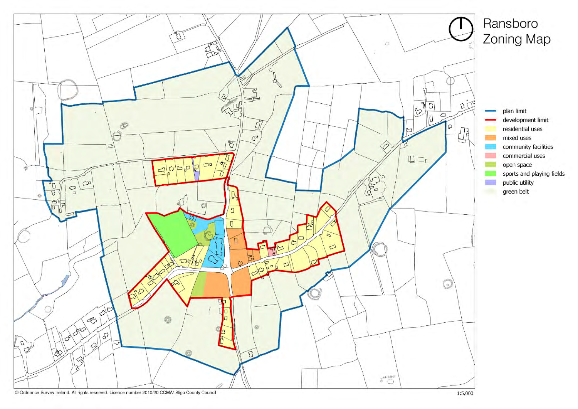

# Ransboro Zoning Map

plan limit development limit residential uses mixed uses community facilities commercial uses open space sports and playing fields public utility green belt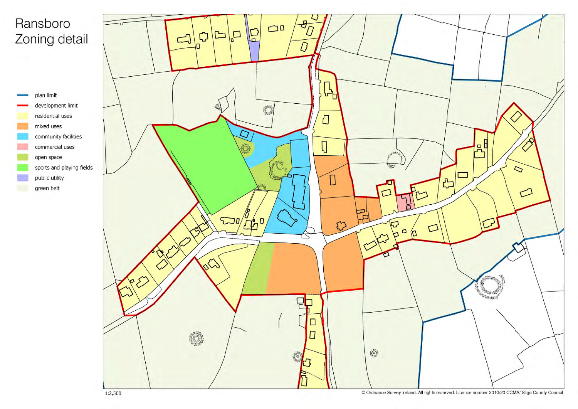# Ransboro Zoning detail



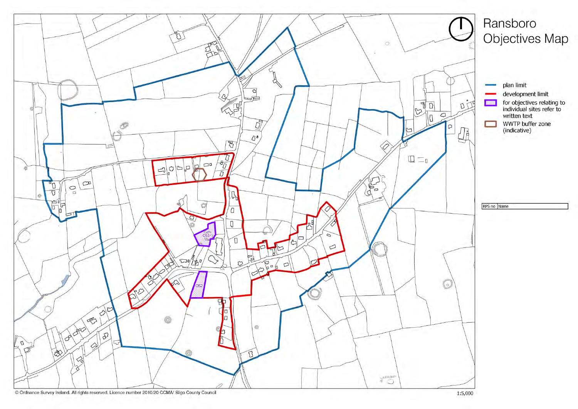